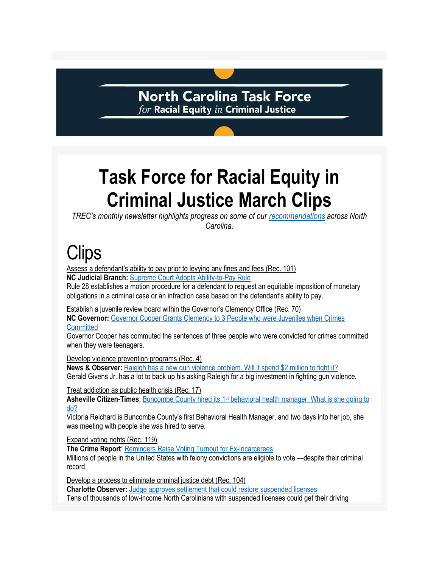### **North Carolina Task Force**  $for$  Racial Equity  $in$  Criminal Justice

### **Task Force for Racial Equity in Criminal Justice March Clips**

*TREC's monthly newsletter highlights progress on some of our [recommendations](https://ncdoj.gov/wp-content/uploads/2021/02/TREC_Recommendations_02262021.pdf) across North Carolina.*

# **Clips**

Assess a defendant's ability to pay prior to levying any fines and fees (Rec. 101)

**NC Judicial Branch:** [Supreme Court Adopts Ability-to-Pay Rule](https://www.nccourts.gov/news/tag/general-news/supreme-court-adopts-ability-to-pay-rule)

Rule 28 establishes a motion procedure for a defendant to request an equitable imposition of monetary obligations in a criminal case or an infraction case based on the defendant's ability to pay.

Establish a juvenile review board within the Governor's Clemency Office (Rec. 70)

**NC Governor:** [Governor Cooper Grants Clemency to 3 People who were Juveniles when Crimes](https://governor.nc.gov/news/press-releases/2022/03/10/governor-cooper-grants-clemency-3-people-who-were-juveniles-when-crimes-committed)  **[Committed](https://governor.nc.gov/news/press-releases/2022/03/10/governor-cooper-grants-clemency-3-people-who-were-juveniles-when-crimes-committed)** 

Governor Cooper has commuted the sentences of three people who were convicted for crimes committed when they were teenagers.

Develop violence prevention programs (Rec. 4)

**News & Observer:** [Raleigh has a new gun violence problem. Will it spend \\$2 million to fight it?](https://www.newsobserver.com/news/local/crime/article259100968.html) Gerald Givens Jr. has a lot to back up his asking Raleigh for a big investment in fighting gun violence.

Treat addiction as public health crisis (Rec. 17)

**Asheville Citizen-Times**: Buncombe County hired its 1<sup>st</sup> behavioral health manager. What is she going to [do?](https://www.citizen-times.com/story/news/2022/03/11/buncombe-behavioral-health-hire-help-guide-opioid-settlement-money/6988687001/)

Victoria Reichard is Buncombe County's first Behavioral Health Manager, and two days into her job, she was meeting with people she was hired to serve.

Expand voting rights (Rec. 119)

**The Crime Report**[: Reminders Raise Voting Turnout for Ex-Incarcerees](https://thecrimereport.org/2022/03/04/it-takes-a-flyer-study-finds-mail-reminders-raise-voting-turnout-for-ex-incarcerees/)

Millions of people in the United States with felony convictions are eligible to vote —despite their criminal record.

Develop a process to eliminate criminal justice debt (Rec. 104)

**Charlotte Observer:** [Judge approves settlement that could restore suspended licenses](https://www.charlotteobserver.com/news/politics-government/article258639938.html) Tens of thousands of low-income North Carolinians with suspended licenses could get their driving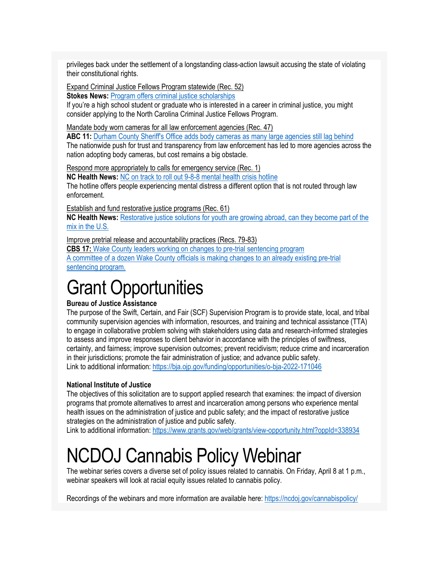privileges back under the settlement of a longstanding class-action lawsuit accusing the state of violating their constitutional rights.

Expand Criminal Justice Fellows Program statewide (Rec. 52)

**Stokes News: [Program offers criminal justice scholarships](http://www.thestokesnews.com/news/33840/program-offers-criminal-justice-scholarships)** 

If you're a high school student or graduate who is interested in a career in criminal justice, you might consider applying to the North Carolina Criminal Justice Fellows Program.

Mandate body worn cameras for all law enforcement agencies (Rec. 47)

ABC 11: [Durham County Sheriff's Office adds body cameras as many large agencies still lag behind](https://abc11.com/police-body-camera-cam-durham-raleigh/11639200/) The nationwide push for trust and transparency from law enforcement has led to more agencies across the nation adopting body cameras, but cost remains a big obstacle.

Respond more appropriately to calls for emergency service (Rec. 1)

**NC Health News:** [NC on track to roll out 9-8-8 mental health crisis hotline](https://www.northcarolinahealthnews.org/2022/03/03/nc-9-8-8-mental-health-crisis-hotline-rollout/?utm_source=iContact&utm_medium=email&utm_campaign=north-carolina-health-news&utm_content=March+3%2C+2022) The hotline offers people experiencing mental distress a different option that is not routed through law enforcement.

Establish and fund restorative justice programs (Rec. 61)

**NC Health News:** [Restorative justice solutions for youth are growing abroad, can they become part of the](https://www.northcarolinahealthnews.org/2022/03/24/restorative-justice-solutions-for-youth-are-growing-abroad-can-they-become-part-of-the-mix-in-the-u-s/)  [mix in the U.S.](https://www.northcarolinahealthnews.org/2022/03/24/restorative-justice-solutions-for-youth-are-growing-abroad-can-they-become-part-of-the-mix-in-the-u-s/)

Improve pretrial release and accountability practices (Recs. 79-83)

**CBS 17:** [Wake County leaders working on changes to pre-trial sentencing program](https://www.cbs17.com/news/local-news/wake-county-news/wake-county-leaders-working-on-changes-to-pre-trial-sentencing-program/) A committee of a dozen Wake County officials is making changes to an already existing pre-trial sentencing program.

### Grant Opportunities

#### **Bureau of Justice Assistance**

The purpose of the Swift, Certain, and Fair (SCF) Supervision Program is to provide state, local, and tribal community supervision agencies with information, resources, and training and technical assistance (TTA) to engage in collaborative problem solving with stakeholders using data and research-informed strategies to assess and improve responses to client behavior in accordance with the principles of swiftness, certainty, and fairness; improve supervision outcomes; prevent recidivism; reduce crime and incarceration in their jurisdictions; promote the fair administration of justice; and advance public safety. Link to additional information:<https://bja.ojp.gov/funding/opportunities/o-bja-2022-171046>

#### **National Institute of Justice**

The objectives of this solicitation are to support applied research that examines: the impact of diversion programs that promote alternatives to arrest and incarceration among persons who experience mental health issues on the administration of justice and public safety; and the impact of restorative justice strategies on the administration of justice and public safety.

Link to additional information:<https://www.grants.gov/web/grants/view-opportunity.html?oppId=338934>

### NCDOJ Cannabis Policy Webinar

The webinar series covers a diverse set of policy issues related to cannabis. On Friday, April 8 at 1 p.m., webinar speakers will look at racial equity issues related to cannabis policy.

Recordings of the webinars and more information are available here:<https://ncdoj.gov/cannabispolicy/>